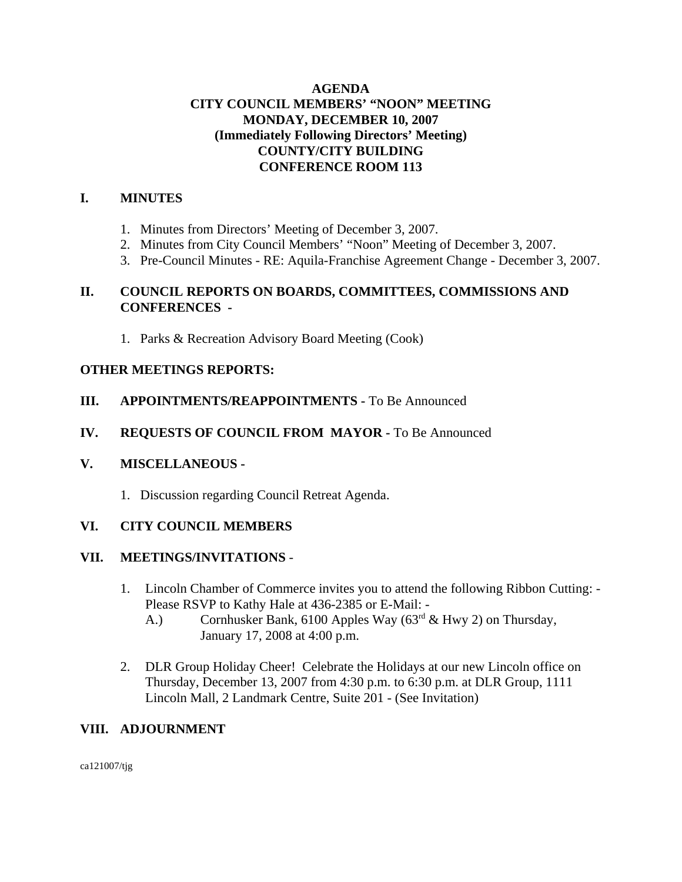## **AGENDA CITY COUNCIL MEMBERS' "NOON" MEETING MONDAY, DECEMBER 10, 2007 (Immediately Following Directors' Meeting) COUNTY/CITY BUILDING CONFERENCE ROOM 113**

# **I. MINUTES**

- 1. Minutes from Directors' Meeting of December 3, 2007.
- 2. Minutes from City Council Members' "Noon" Meeting of December 3, 2007.
- 3. Pre-Council Minutes RE: Aquila-Franchise Agreement Change December 3, 2007.

# **II. COUNCIL REPORTS ON BOARDS, COMMITTEES, COMMISSIONS AND CONFERENCES -**

1. Parks & Recreation Advisory Board Meeting (Cook)

## **OTHER MEETINGS REPORTS:**

- **III.** APPOINTMENTS/REAPPOINTMENTS To Be Announced
- **IV. REQUESTS OF COUNCIL FROM MAYOR -** To Be Announced

## **V. MISCELLANEOUS -**

1. Discussion regarding Council Retreat Agenda.

## **VI. CITY COUNCIL MEMBERS**

## **VII. MEETINGS/INVITATIONS** -

- 1. Lincoln Chamber of Commerce invites you to attend the following Ribbon Cutting: Please RSVP to Kathy Hale at 436-2385 or E-Mail: -
	- A.) Cornhusker Bank, 6100 Apples Way ( $63<sup>rd</sup>$  & Hwy 2) on Thursday, January 17, 2008 at 4:00 p.m.
- 2. DLR Group Holiday Cheer! Celebrate the Holidays at our new Lincoln office on Thursday, December 13, 2007 from 4:30 p.m. to 6:30 p.m. at DLR Group, 1111 Lincoln Mall, 2 Landmark Centre, Suite 201 - (See Invitation)

## **VIII. ADJOURNMENT**

ca121007/tjg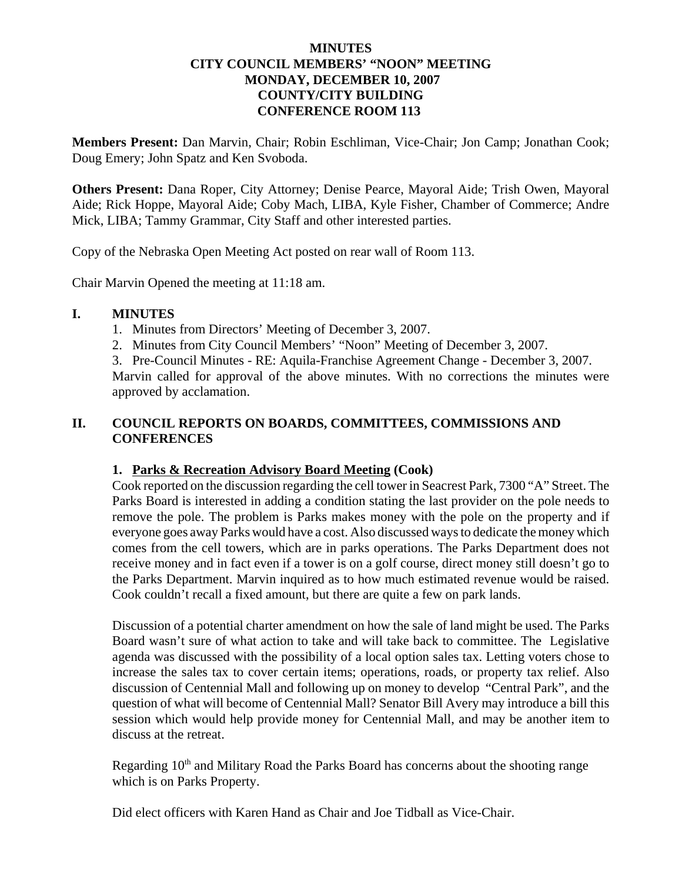#### **MINUTES CITY COUNCIL MEMBERS' "NOON" MEETING MONDAY, DECEMBER 10, 2007 COUNTY/CITY BUILDING CONFERENCE ROOM 113**

**Members Present:** Dan Marvin, Chair; Robin Eschliman, Vice-Chair; Jon Camp; Jonathan Cook; Doug Emery; John Spatz and Ken Svoboda.

**Others Present:** Dana Roper, City Attorney; Denise Pearce, Mayoral Aide; Trish Owen, Mayoral Aide; Rick Hoppe, Mayoral Aide; Coby Mach, LIBA, Kyle Fisher, Chamber of Commerce; Andre Mick, LIBA; Tammy Grammar, City Staff and other interested parties.

Copy of the Nebraska Open Meeting Act posted on rear wall of Room 113.

Chair Marvin Opened the meeting at 11:18 am.

#### **I. MINUTES**

- 1. Minutes from Directors' Meeting of December 3, 2007.
- 2. Minutes from City Council Members' "Noon" Meeting of December 3, 2007.

3. Pre-Council Minutes - RE: Aquila-Franchise Agreement Change - December 3, 2007. Marvin called for approval of the above minutes. With no corrections the minutes were approved by acclamation.

## **II. COUNCIL REPORTS ON BOARDS, COMMITTEES, COMMISSIONS AND CONFERENCES**

#### **1. Parks & Recreation Advisory Board Meeting (Cook)**

Cook reported on the discussion regarding the cell tower in Seacrest Park, 7300 "A" Street. The Parks Board is interested in adding a condition stating the last provider on the pole needs to remove the pole. The problem is Parks makes money with the pole on the property and if everyone goes away Parks would have a cost. Also discussed ways to dedicate the money which comes from the cell towers, which are in parks operations. The Parks Department does not receive money and in fact even if a tower is on a golf course, direct money still doesn't go to the Parks Department. Marvin inquired as to how much estimated revenue would be raised. Cook couldn't recall a fixed amount, but there are quite a few on park lands.

Discussion of a potential charter amendment on how the sale of land might be used. The Parks Board wasn't sure of what action to take and will take back to committee. The Legislative agenda was discussed with the possibility of a local option sales tax. Letting voters chose to increase the sales tax to cover certain items; operations, roads, or property tax relief. Also discussion of Centennial Mall and following up on money to develop "Central Park", and the question of what will become of Centennial Mall? Senator Bill Avery may introduce a bill this session which would help provide money for Centennial Mall, and may be another item to discuss at the retreat.

Regarding  $10<sup>th</sup>$  and Military Road the Parks Board has concerns about the shooting range which is on Parks Property.

Did elect officers with Karen Hand as Chair and Joe Tidball as Vice-Chair.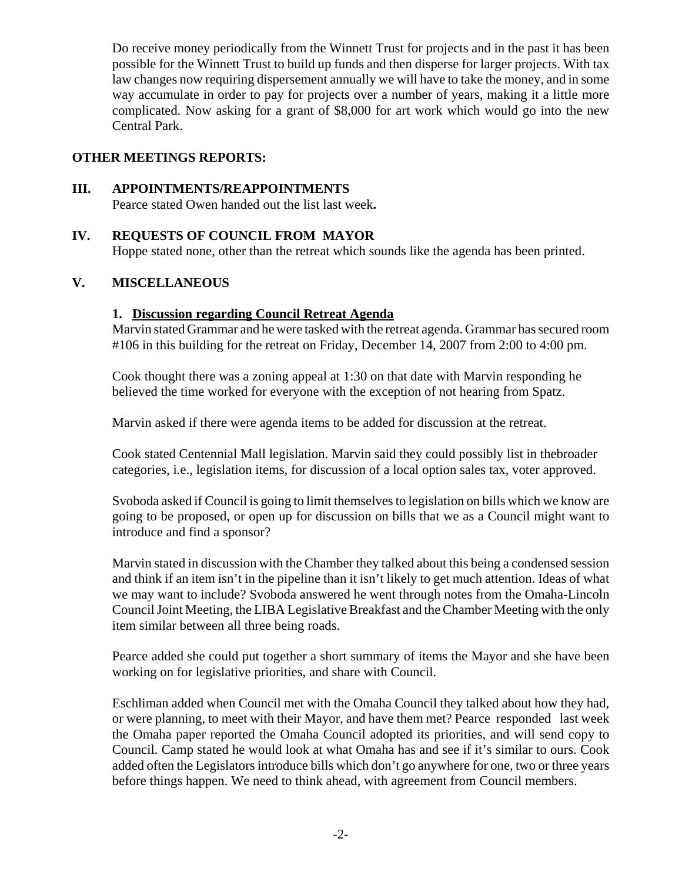Do receive money periodically from the Winnett Trust for projects and in the past it has been possible for the Winnett Trust to build up funds and then disperse for larger projects. With tax law changes now requiring dispersement annually we will have to take the money, and in some way accumulate in order to pay for projects over a number of years, making it a little more complicated. Now asking for a grant of \$8,000 for art work which would go into the new Central Park.

#### **OTHER MEETINGS REPORTS:**

#### **III. APPOINTMENTS/REAPPOINTMENTS**

Pearce stated Owen handed out the list last week**.**

#### **IV. REQUESTS OF COUNCIL FROM MAYOR**

Hoppe stated none, other than the retreat which sounds like the agenda has been printed.

#### **V. MISCELLANEOUS**

#### **1. Discussion regarding Council Retreat Agenda**

Marvin stated Grammar and he were tasked with the retreat agenda. Grammar has secured room #106 in this building for the retreat on Friday, December 14, 2007 from 2:00 to 4:00 pm.

Cook thought there was a zoning appeal at 1:30 on that date with Marvin responding he believed the time worked for everyone with the exception of not hearing from Spatz.

Marvin asked if there were agenda items to be added for discussion at the retreat.

Cook stated Centennial Mall legislation. Marvin said they could possibly list in the broader categories, i.e., legislation items, for discussion of a local option sales tax, voter approved.

Svoboda asked if Council is going to limit themselves to legislation on bills which we know are going to be proposed, or open up for discussion on bills that we as a Council might want to introduce and find a sponsor?

Marvin stated in discussion with the Chamber they talked about this being a condensed session and think if an item isn't in the pipeline than it isn't likely to get much attention. Ideas of what we may want to include? Svoboda answered he went through notes from the Omaha-Lincoln Council Joint Meeting, the LIBA Legislative Breakfast and the Chamber Meeting with the only item similar between all three being roads.

Pearce added she could put together a short summary of items the Mayor and she have been working on for legislative priorities, and share with Council.

Eschliman added when Council met with the Omaha Council they talked about how they had, or were planning, to meet with their Mayor, and have them met? Pearce responded last week the Omaha paper reported the Omaha Council adopted its priorities, and will send copy to Council. Camp stated he would look at what Omaha has and see if it's similar to ours. Cook added often the Legislators introduce bills which don't go anywhere for one, two or three years before things happen. We need to think ahead, with agreement from Council members.